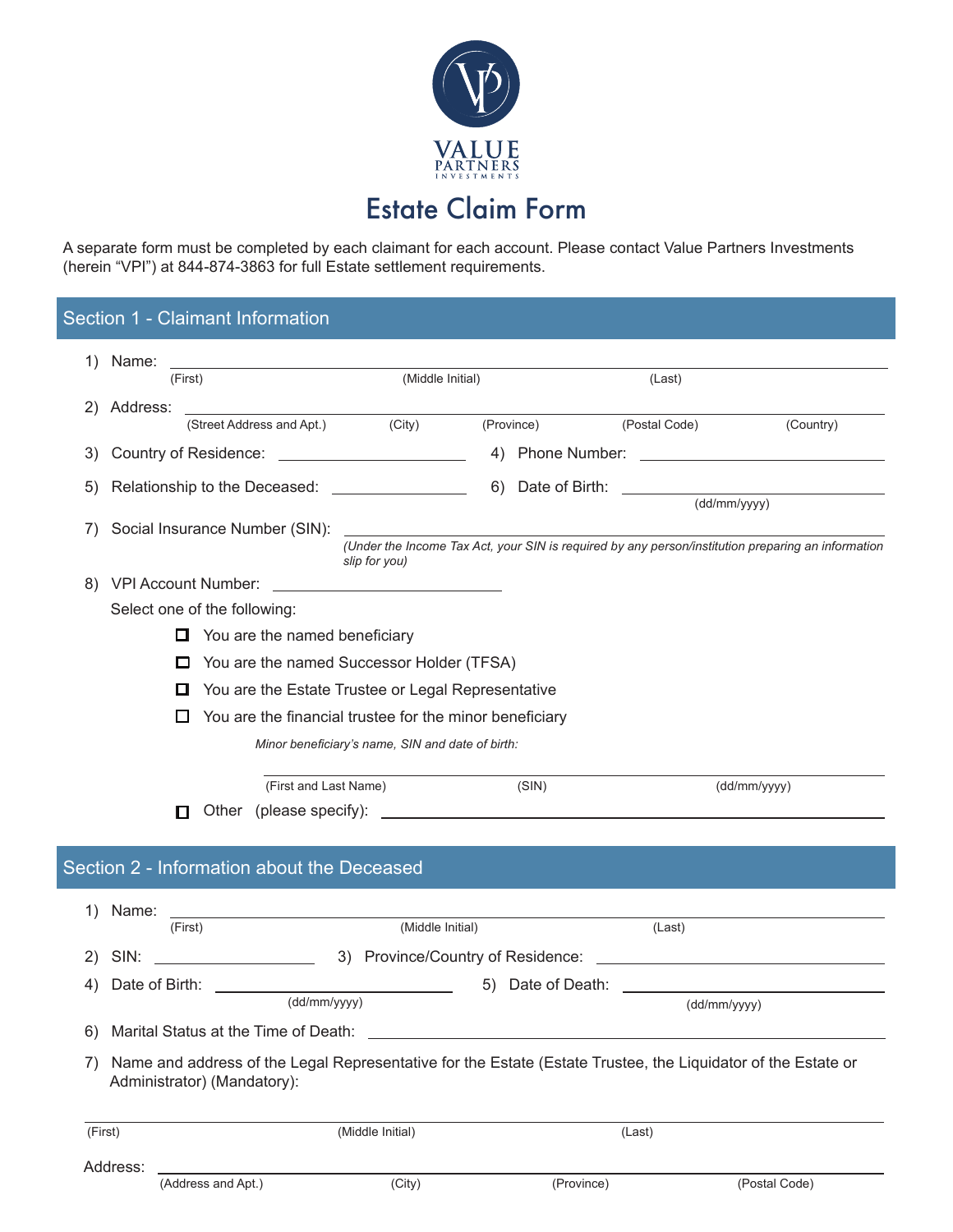

A separate form must be completed by each claimant for each account. Please contact Value Partners Investments (herein "VPI") at 844-874-3863 for full Estate settlement requirements.

## Section 1 - Claimant Information

| 1)      | Name:                                    | the control of the control of the control of the control of the control of                                                                  |                                                  |  |            |               |                                                                                                    |  |
|---------|------------------------------------------|---------------------------------------------------------------------------------------------------------------------------------------------|--------------------------------------------------|--|------------|---------------|----------------------------------------------------------------------------------------------------|--|
|         |                                          | (First)                                                                                                                                     | (Middle Initial)                                 |  |            | (Last)        |                                                                                                    |  |
| 2)      | Address:                                 |                                                                                                                                             |                                                  |  |            |               |                                                                                                    |  |
|         |                                          | (Street Address and Apt.) (City)                                                                                                            |                                                  |  | (Province) | (Postal Code) | (Country)                                                                                          |  |
| 3)      |                                          | Country of Residence: <u>________________________</u>                                                                                       |                                                  |  |            |               |                                                                                                    |  |
| 5)      |                                          | Relationship to the Deceased: __________________                                                                                            |                                                  |  |            |               |                                                                                                    |  |
|         |                                          |                                                                                                                                             |                                                  |  |            |               | $\overline{(dd/mm/yyyy)}$                                                                          |  |
| 7)      |                                          |                                                                                                                                             | slip for you)                                    |  |            |               | (Under the Income Tax Act, your SIN is required by any person/institution preparing an information |  |
| 8)      |                                          | <b>VPI Account Number:</b>                                                                                                                  | <u> 1989 - Andrea Andrew Maria (h. 1989).</u>    |  |            |               |                                                                                                    |  |
|         |                                          | Select one of the following:                                                                                                                |                                                  |  |            |               |                                                                                                    |  |
|         |                                          | You are the named beneficiary<br>□                                                                                                          |                                                  |  |            |               |                                                                                                    |  |
|         |                                          | You are the named Successor Holder (TFSA)<br>$\Box$                                                                                         |                                                  |  |            |               |                                                                                                    |  |
|         |                                          | You are the Estate Trustee or Legal Representative<br>O                                                                                     |                                                  |  |            |               |                                                                                                    |  |
|         |                                          | You are the financial trustee for the minor beneficiary<br>ப                                                                                |                                                  |  |            |               |                                                                                                    |  |
|         |                                          |                                                                                                                                             | Minor beneficiary's name, SIN and date of birth: |  |            |               |                                                                                                    |  |
|         |                                          |                                                                                                                                             |                                                  |  |            |               |                                                                                                    |  |
|         |                                          | (First and Last Name)                                                                                                                       |                                                  |  | (SIN)      |               | (dd/mm/yyyy)                                                                                       |  |
|         |                                          | п                                                                                                                                           |                                                  |  |            |               |                                                                                                    |  |
|         |                                          |                                                                                                                                             |                                                  |  |            |               |                                                                                                    |  |
|         |                                          | Section 2 - Information about the Deceased                                                                                                  |                                                  |  |            |               |                                                                                                    |  |
|         |                                          |                                                                                                                                             |                                                  |  |            |               |                                                                                                    |  |
| 1)      | Name:                                    | (First)                                                                                                                                     | (Middle Initial)                                 |  |            | (Last)        |                                                                                                    |  |
| 2)      | SIN:                                     | <u> 1990 - John Stein, Amerikaansk politiker</u>                                                                                            |                                                  |  |            |               |                                                                                                    |  |
|         | Date of Birth: \[\]<br>5) Date of Death: |                                                                                                                                             |                                                  |  |            |               |                                                                                                    |  |
| 4)      |                                          | (dd/mm/yyyy)                                                                                                                                |                                                  |  |            |               | (dd/mm/yyyy)                                                                                       |  |
| 6)      |                                          | Marital Status at the Time of Death:                                                                                                        |                                                  |  |            |               |                                                                                                    |  |
|         |                                          |                                                                                                                                             |                                                  |  |            |               |                                                                                                    |  |
| 7)      |                                          | Name and address of the Legal Representative for the Estate (Estate Trustee, the Liquidator of the Estate or<br>Administrator) (Mandatory): |                                                  |  |            |               |                                                                                                    |  |
| (First) |                                          |                                                                                                                                             | (Middle Initial)                                 |  |            | (Last)        |                                                                                                    |  |
|         |                                          |                                                                                                                                             |                                                  |  |            |               |                                                                                                    |  |
|         | Address:                                 | (Address and Apt.)                                                                                                                          | (City)                                           |  | (Province) |               | (Postal Code)                                                                                      |  |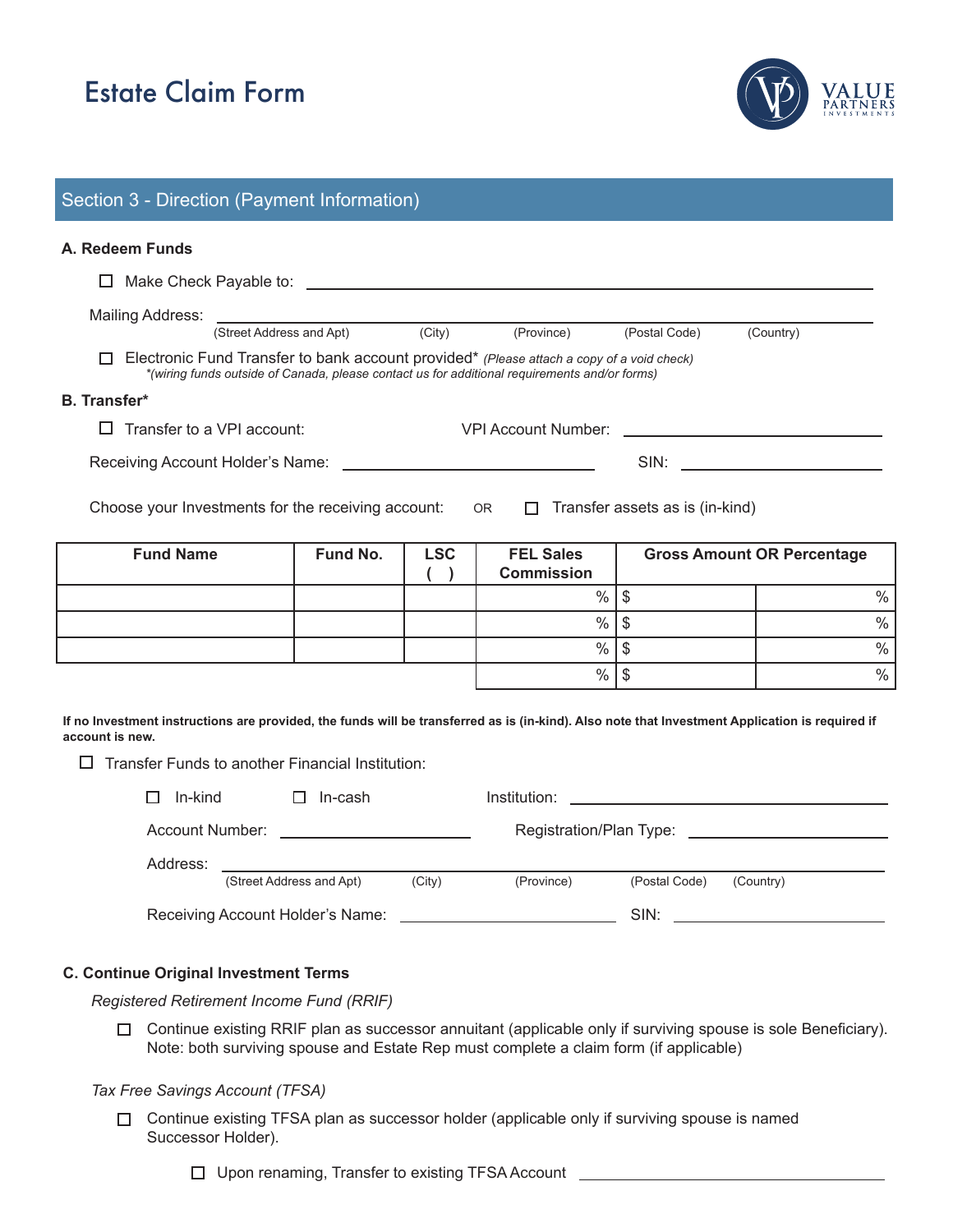# Estate Claim Form



## Section 3 - Direction (Payment Information)

### **A. Redeem Funds**

| <b>Eund Namo</b>                                                                                                                                                                           |                            | Eund No. | $\mathbf{C}$ | <b>EEL Salos</b>                                                                                                                                                                                                               |               | Gross Amount OD Dercontago |  |  |
|--------------------------------------------------------------------------------------------------------------------------------------------------------------------------------------------|----------------------------|----------|--------------|--------------------------------------------------------------------------------------------------------------------------------------------------------------------------------------------------------------------------------|---------------|----------------------------|--|--|
| Choose your Investments for the receiving account:<br>OR $\Box$ Transfer assets as is (in-kind)                                                                                            |                            |          |              |                                                                                                                                                                                                                                |               |                            |  |  |
| Receiving Account Holder's Name: __________________________________                                                                                                                        |                            |          |              | SIN: And the state of the state of the state of the state of the state of the state of the state of the state of the state of the state of the state of the state of the state of the state of the state of the state of the s |               |                            |  |  |
|                                                                                                                                                                                            | Transfer to a VPI account: |          |              | VPI Account Number:                                                                                                                                                                                                            |               |                            |  |  |
| <b>B.</b> Transfer*                                                                                                                                                                        |                            |          |              |                                                                                                                                                                                                                                |               |                            |  |  |
| Electronic Fund Transfer to bank account provided* (Please attach a copy of a void check)<br>*(wiring funds outside of Canada, please contact us for additional requirements and/or forms) |                            |          |              |                                                                                                                                                                                                                                |               |                            |  |  |
|                                                                                                                                                                                            | (Street Address and Apt)   |          | (City)       | (Province)                                                                                                                                                                                                                     | (Postal Code) | (Country)                  |  |  |
| Mailing Address:                                                                                                                                                                           |                            |          |              |                                                                                                                                                                                                                                |               |                            |  |  |
|                                                                                                                                                                                            |                            |          |              |                                                                                                                                                                                                                                |               |                            |  |  |

| <b>Fund Name</b> | Fund No. | <b>LSC</b> | <b>FEL Sales</b><br><b>Commission</b> | <b>Gross Amount OR Percentage</b> |      |
|------------------|----------|------------|---------------------------------------|-----------------------------------|------|
|                  |          |            | $\%$                                  |                                   | $\%$ |
|                  |          |            | $\%$                                  |                                   | $\%$ |
|                  |          |            | $\%$                                  |                                   | $\%$ |
|                  |          |            | $\%$                                  |                                   | $\%$ |

**If no Investment instructions are provided, the funds will be transferred as is (in-kind). Also note that Investment Application is required if account is new.**

 $\square$  Transfer Funds to another Financial Institution:

| In-kind                          | In-cash                                   |        | Institution: | <u> 1989 - John Stein, Amerikaansk politiker (* 1908)</u> |           |  |
|----------------------------------|-------------------------------------------|--------|--------------|-----------------------------------------------------------|-----------|--|
| Account Number:                  | <u> 1980 - Andrea Aontaithe ann an t-</u> |        |              |                                                           |           |  |
| Address:                         |                                           |        |              |                                                           |           |  |
|                                  | (Street Address and Apt)                  | (City) | (Province)   | (Postal Code)                                             | (Country) |  |
| Receiving Account Holder's Name: |                                           |        |              | SIN:                                                      |           |  |

### **C. Continue Original Investment Terms**

*Registered Retirement Income Fund (RRIF)*

Continue existing RRIF plan as successor annuitant (applicable only if surviving spouse is sole Beneficiary). Note: both surviving spouse and Estate Rep must complete a claim form (if applicable)

#### *Tax Free Savings Account (TFSA)*

□ Continue existing TFSA plan as successor holder (applicable only if surviving spouse is named Successor Holder).

□ Upon renaming, Transfer to existing TFSA Account